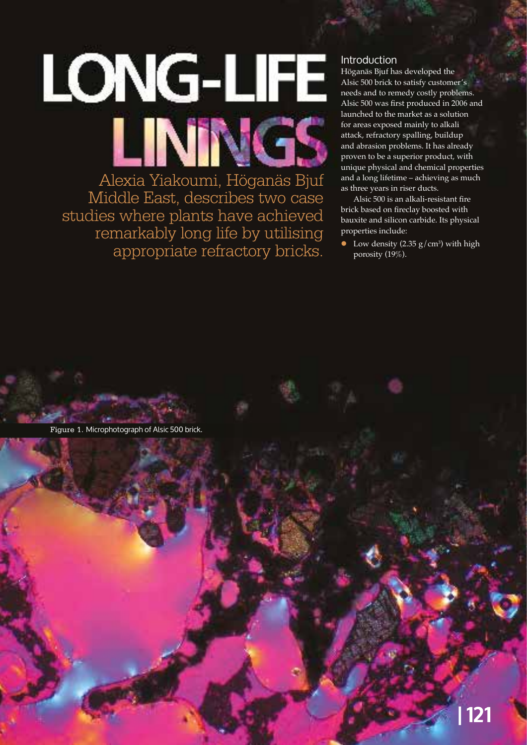

Alexia Yiakoumi, Höganäs Bjuf Middle East, describes two case studies where plants have achieved remarkably long life by utilising appropriate refractory bricks.

# Introduction

Höganäs Bjuf has developed the Alsic 500 brick to satisfy customer's needs and to remedy costly problems. Alsic 500 was first produced in 2006 and launched to the market as a solution for areas exposed mainly to alkali attack, refractory spalling, buildup and abrasion problems. It has already proven to be a superior product, with unique physical and chemical properties and a long lifetime – achieving as much as three years in riser ducts.

Alsic 500 is an alkali-resistant fire brick based on fireclay boosted with bauxite and silicon carbide. Its physical properties include:

• Low density  $(2.35 \text{ g/cm}^3)$  with high porosity (19%).

Figure 1. Microphotograph of Alsic 500 brick.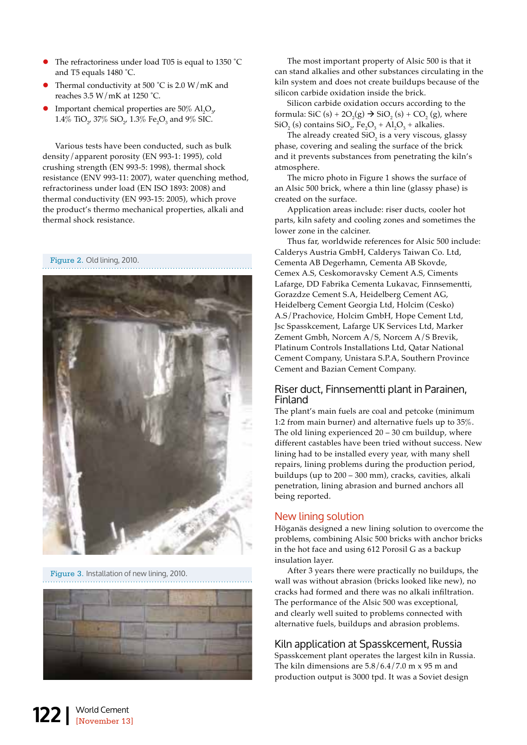- The refractoriness under load T05 is equal to 1350 °C and T5 equals 1480 ˚C.
- Thermal conductivity at 500 °C is 2.0 W/mK and reaches 3.5 W/mK at 1250 ˚C.
- Important chemical properties are 50%  $\mathrm{Al}_2\mathrm{O}_3$ ,  $1.4\%$  TiO<sub>2</sub>, 37% SiO<sub>2</sub>, 1.3% Fe<sub>2</sub>O<sub>3</sub> and 9% SIC.

Various tests have been conducted, such as bulk density/apparent porosity (EN 993-1: 1995), cold crushing strength (EN 993-5: 1998), thermal shock resistance (ENV 993-11: 2007), water quenching method, refractoriness under load (EN ISO 1893: 2008) and thermal conductivity (EN 993-15: 2005), which prove the product's thermo mechanical properties, alkali and thermal shock resistance.

Figure 2. Old lining, 2010.



Figure 3. Installation of new lining, 2010.



The most important property of Alsic 500 is that it can stand alkalies and other substances circulating in the kiln system and does not create buildups because of the silicon carbide oxidation inside the brick.

Silicon carbide oxidation occurs according to the formula: SiC (s) +  $2O_2(g) \rightarrow SiO_2(s) + CO_2(g)$ , where  $\text{SiO}_2^{\text{}}\text{ (s)}$  contains  $\text{SiO}_2^{\text{}}$ ,  $\text{Fe}_2^{\text{}}\text{O}_3^{\text{}}$  +  $\text{Al}_2^{\text{}}\text{O}_3^{\text{}}$  + alkalies.

The already created  $SiO<sub>2</sub>$  is a very viscous, glassy phase, covering and sealing the surface of the brick and it prevents substances from penetrating the kiln's atmosphere.

The micro photo in Figure 1 shows the surface of an Alsic 500 brick, where a thin line (glassy phase) is created on the surface.

Application areas include: riser ducts, cooler hot parts, kiln safety and cooling zones and sometimes the lower zone in the calciner.

Thus far, worldwide references for Alsic 500 include: Calderys Austria GmbH, Calderys Taiwan Co. Ltd, Cementa AB Degerhamn, Cementa AB Skovde, Cemex A.S, Ceskomoravsky Cement A.S, Ciments Lafarge, DD Fabrika Cementa Lukavac, Finnsementti, Gorazdze Cement S.A, Heidelberg Cement AG, Heidelberg Cement Georgia Ltd, Holcim (Cesko) A.S/Prachovice, Holcim GmbH, Hope Cement Ltd, Jsc Spasskcement, Lafarge UK Services Ltd, Marker Zement Gmbh, Norcem A/S, Norcem A/S Brevik, Platinum Controls Installations Ltd, Qatar National Cement Company, Unistara S.P.A, Southern Province Cement and Bazian Cement Company.

## Riser duct, Finnsementti plant in Parainen, Finland

The plant's main fuels are coal and petcoke (minimum 1:2 from main burner) and alternative fuels up to 35%. The old lining experienced  $20 - 30$  cm buildup, where different castables have been tried without success. New lining had to be installed every year, with many shell repairs, lining problems during the production period, buildups (up to 200 – 300 mm), cracks, cavities, alkali penetration, lining abrasion and burned anchors all being reported.

## New lining solution

Höganäs designed a new lining solution to overcome the problems, combining Alsic 500 bricks with anchor bricks in the hot face and using 612 Porosil G as a backup insulation layer.

After 3 years there were practically no buildups, the wall was without abrasion (bricks looked like new), no cracks had formed and there was no alkali infiltration. The performance of the Alsic 500 was exceptional, and clearly well suited to problems connected with alternative fuels, buildups and abrasion problems.

## Kiln application at Spasskcement, Russia

Spasskcement plant operates the largest kiln in Russia. The kiln dimensions are  $5.8/6.4/7.0$  m x 95 m and production output is 3000 tpd. It was a Soviet design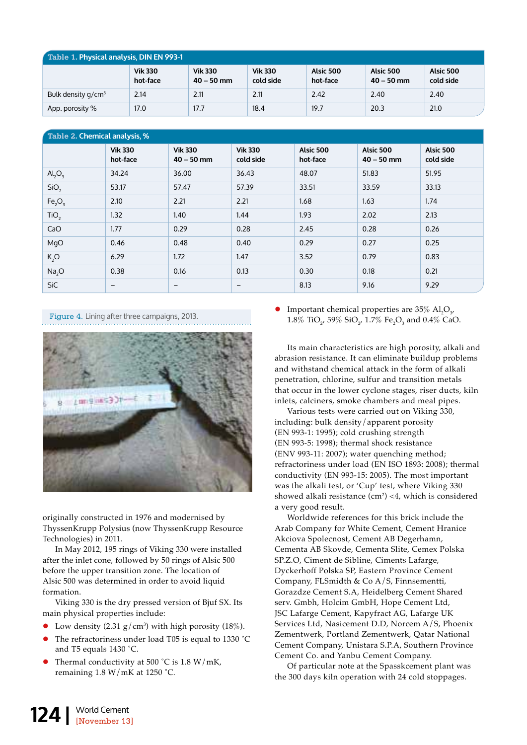| Table 1. Physical analysis, DIN EN 993-1 |                            |                                |                             |                       |                           |                        |  |  |  |
|------------------------------------------|----------------------------|--------------------------------|-----------------------------|-----------------------|---------------------------|------------------------|--|--|--|
|                                          | <b>Vik 330</b><br>hot-face | <b>Vik 330</b><br>$40 - 50$ mm | <b>Vik 330</b><br>cold side | Alsic 500<br>hot-face | Alsic 500<br>$40 - 50$ mm | Alsic 500<br>cold side |  |  |  |
| Bulk density $q/cm^3$                    | 2.14                       | 2.11                           | 2.11                        | 2.42                  | 2.40                      | 2.40                   |  |  |  |
| App. porosity %                          | 17.0                       | 17.7                           | 18.4                        | 19.7                  | 20.3                      | 21.0                   |  |  |  |

| Table 2. Chemical analysis, %  |                            |                                |                             |                       |                           |                        |  |  |  |  |
|--------------------------------|----------------------------|--------------------------------|-----------------------------|-----------------------|---------------------------|------------------------|--|--|--|--|
|                                | <b>Vik 330</b><br>hot-face | <b>Vik 330</b><br>$40 - 50$ mm | <b>Vik 330</b><br>cold side | Alsic 500<br>hot-face | Alsic 500<br>$40 - 50$ mm | Alsic 500<br>cold side |  |  |  |  |
| $\text{Al}_2\text{O}_3$        | 34.24                      | 36.00                          | 36.43                       | 48.07                 | 51.83                     | 51.95                  |  |  |  |  |
| SiO <sub>2</sub>               | 53.17                      | 57.47                          | 57.39                       | 33.51                 | 33.59                     | 33.13                  |  |  |  |  |
| Fe <sub>2</sub> O <sub>3</sub> | 2.10                       | 2.21                           | 2.21                        | 1.68                  | 1.63                      | 1.74                   |  |  |  |  |
| TiO <sub>2</sub>               | 1.32                       | 1.40                           | 1.44                        | 1.93                  | 2.02                      | 2.13                   |  |  |  |  |
| CaO                            | 1.77                       | 0.29                           | 0.28                        | 2.45                  | 0.28                      | 0.26                   |  |  |  |  |
| MgO                            | 0.46                       | 0.48                           | 0.40                        | 0.29                  | 0.27                      | 0.25                   |  |  |  |  |
| K, O                           | 6.29                       | 1.72                           | 1.47                        | 3.52                  | 0.79                      | 0.83                   |  |  |  |  |
| Na <sub>2</sub> O              | 0.38                       | 0.16                           | 0.13                        | 0.30                  | 0.18                      | 0.21                   |  |  |  |  |
| <b>SiC</b>                     | $\qquad \qquad$            | $\qquad \qquad -$              | -                           | 8.13                  | 9.16                      | 9.29                   |  |  |  |  |

Figure 4. Lining after three campaigns, 2013.



originally constructed in 1976 and modernised by ThyssenKrupp Polysius (now ThyssenKrupp Resource Technologies) in 2011.

In May 2012, 195 rings of Viking 330 were installed after the inlet cone, followed by 50 rings of Alsic 500 before the upper transition zone. The location of Alsic 500 was determined in order to avoid liquid formation.

Viking 330 is the dry pressed version of Bjuf SX. Its main physical properties include:

- Low density (2.31  $g/cm<sup>3</sup>$ ) with high porosity (18%).
- The refractoriness under load T05 is equal to 1330 °C and T5 equals 1430 ˚C.
- Thermal conductivity at 500 °C is 1.8 W/mK, remaining  $1.8 \text{ W/mK}$  at  $1250 \text{ }^{\circ}\text{C}$ .

• Important chemical properties are  $35\%$  Al<sub>2</sub>O<sub>3'</sub> 1.8% TiO<sub>2</sub>, 59% SiO<sub>2</sub>, 1.7% Fe<sub>2</sub>O<sub>3</sub> and 0.4% CaO.

Its main characteristics are high porosity, alkali and abrasion resistance. It can eliminate buildup problems and withstand chemical attack in the form of alkali penetration, chlorine, sulfur and transition metals that occur in the lower cyclone stages, riser ducts, kiln inlets, calciners, smoke chambers and meal pipes.

Various tests were carried out on Viking 330, including: bulk density/apparent porosity (EN 993-1: 1995); cold crushing strength (EN 993-5: 1998); thermal shock resistance (ENV 993-11: 2007); water quenching method; refractoriness under load (EN ISO 1893: 2008); thermal conductivity (EN 993-15: 2005). The most important was the alkali test, or 'Cup' test, where Viking 330 showed alkali resistance (cm<sup>2</sup> ) <4, which is considered a very good result.

Worldwide references for this brick include the Arab Company for White Cement, Cement Hranice Akciova Spolecnost, Cement AB Degerhamn, Cementa AB Skovde, Cementa Slite, Cemex Polska SP.Z.O, Ciment de Sibline, Ciments Lafarge, Dyckerhoff Polska SP, Eastern Province Cement Company, FLSmidth & Co A/S, Finnsementti, Gorazdze Cement S.A, Heidelberg Cement Shared serv. Gmbh, Holcim GmbH, Hope Cement Ltd, JSC Lafarge Cement, Kapyfract AG, Lafarge UK Services Ltd, Nasicement D.D, Norcem A/S, Phoenix Zementwerk, Portland Zementwerk, Qatar National Cement Company, Unistara S.P.A, Southern Province Cement Co. and Yanbu Cement Company.

Of particular note at the Spasskcement plant was the 300 days kiln operation with 24 cold stoppages.